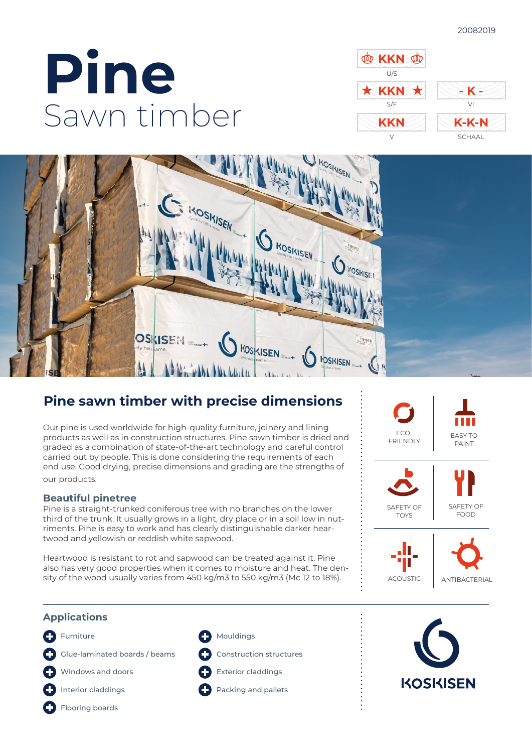#### 20082019

# **Pine** Sawn timber





## **Pine sawn timber with precise dimensions**

Our pine is used worldwide for high-quality furniture, joinery and lining products as well as in construction structures. Pine sawn timber is dried and graded as a combination of state-of-the-art technology and careful control carried out by people. This is done considering the requirements of each end use. Good drying, precise dimensions and grading are the strengths of our products.

### **Beautiful pinetree**

Pine is a straight-trunked coniferous tree with no branches on the lower third of the trunk. It usually grows in a light, dry place or in a soil low in nutriments. Pine is easy to work and has clearly distinguishable darker heartwood and yellowish or reddish white sapwood.

Heartwood is resistant to rot and sapwood can be treated against it. Pine also has very good properties when it comes to moisture and heat. The density of the wood usually varies from 450 kg/m3 to 550 kg/m3 (Mc 12 to 18%).



### **Applications**

- **C** Furniture
- Glue-laminated boards / beams
- Windows and doors O
- **n**Interior claddings
- **C** Flooring boards
- **C** Mouldings
- Construction structures
- Exterior claddings
- **Packing and pallets**